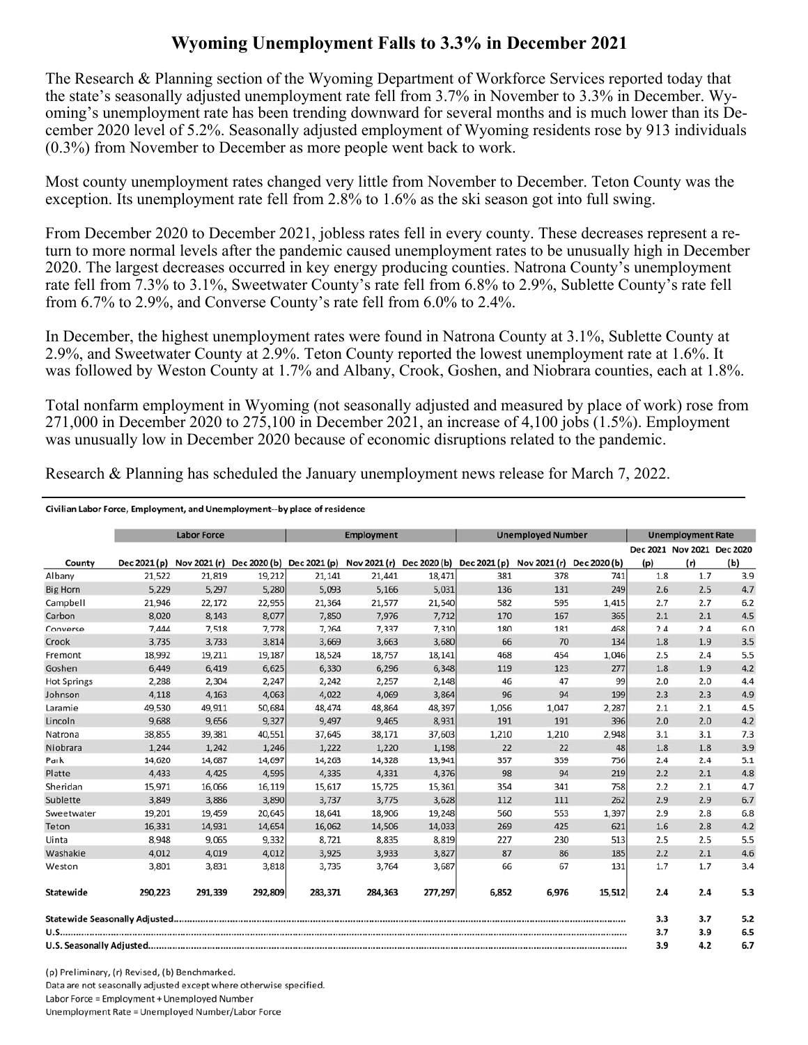## **Wyoming Unemployment Falls to 3.3% in December 2021**

The Research & Planning section of the Wyoming Department of Workforce Services reported today that the state's seasonally adjusted unemployment rate fell from 3.7% in November to 3.3% in December. Wyoming's unemployment rate has been trending downward for several months and is much lower than its December 2020 level of 5.2%. Seasonally adjusted employment of Wyoming residents rose by 913 individuals (0.3%) from November to December as more people went back to work.

Most county unemployment rates changed very little from November to December. Teton County was the exception. Its unemployment rate fell from 2.8% to 1.6% as the ski season got into full swing.

From December 2020 to December 2021, jobless rates fell in every county. These decreases represent a return to more normal levels after the pandemic caused unemployment rates to be unusually high in December 2020. The largest decreases occurred in key energy producing counties. Natrona County's unemployment rate fell from 7.3% to 3.1%, Sweetwater County's rate fell from 6.8% to 2.9%, Sublette County's rate fell from 6.7% to 2.9%, and Converse County's rate fell from 6.0% to 2.4%.

In December, the highest unemployment rates were found in Natrona County at 3.1%, Sublette County at 2.9%, and Sweetwater County at 2.9%. Teton County reported the lowest unemployment rate at 1.6%. It was followed by Weston County at 1.7% and Albany, Crook, Goshen, and Niobrara counties, each at 1.8%.

Total nonfarm employment in Wyoming (not seasonally adjusted and measured by place of work) rose from 271,000 in December 2020 to 275,100 in December 2021, an increase of 4,100 jobs (1.5%). Employment was unusually low in December 2020 because of economic disruptions related to the pandemic.

Research & Planning has scheduled the January unemployment news release for March 7, 2022.

## Civilian Labor Force, Employment, and Unemployment--by place of residence

|                    |              | <b>Labor Force</b> |         |                                                                               | <b>Employment</b> |         |       | <b>Unemployed Number</b> |              |     | <b>Unemployment Rate</b>   |     |
|--------------------|--------------|--------------------|---------|-------------------------------------------------------------------------------|-------------------|---------|-------|--------------------------|--------------|-----|----------------------------|-----|
|                    |              |                    |         |                                                                               |                   |         |       |                          |              |     | Dec 2021 Nov 2021 Dec 2020 |     |
| County             | Dec 2021 (p) |                    |         | Nov 2021 (r) Dec 2020 (b) Dec 2021 (p) Nov 2021 (r) Dec 2020 (b) Dec 2021 (p) |                   |         |       | Nov 2021 (r)             | Dec 2020 (b) | (p) | (r)                        | (b) |
| Albany             | 21,522       | 21,819             | 19,212  | 21,141                                                                        | 21,441            | 18,471  | 381   | 378                      | 741          | 1.8 | 1.7                        | 3.9 |
| <b>Big Horn</b>    | 5,229        | 5,297              | 5,280   | 5,093                                                                         | 5,166             | 5,031   | 136   | 131                      | 249          | 2.6 | 2.5                        | 4.7 |
| Campbell           | 21,946       | 22,172             | 22,955  | 21,364                                                                        | 21,577            | 21,540  | 582   | 595                      | 1,415        | 2.7 | 2.7                        | 6.2 |
| Carbon             | 8,020        | 8,143              | 8,077   | 7,850                                                                         | 7,976             | 7,712   | 170   | 167                      | 365          | 2.1 | 2.1                        | 4.5 |
| Converse           | 7,444        | 7,518              | 7,778   | 7,264                                                                         | 7,337             | 7,310   | 180   | 181                      | 468          | 2.4 | 2.4                        | 6.0 |
| Crook              | 3.735        | 3.733              | 3.814   | 3.669                                                                         | 3,663             | 3,680   | 66    | 70                       | 134          | 1.8 | 1.9                        | 3.5 |
| Fremont            | 18,992       | 19,211             | 19,187  | 18,524                                                                        | 18,757            | 18,141  | 468   | 454                      | 1,046        | 2.5 | 2.4                        | 5.5 |
| Goshen             | 6,449        | 6,419              | 6,625   | 6,330                                                                         | 6,296             | 6,348   | 119   | 123                      | 277          | 1.8 | 1.9                        | 4.2 |
| <b>Hot Springs</b> | 2,288        | 2,304              | 2,247   | 2,242                                                                         | 2,257             | 2,148   | 46    | 47                       | 99           | 2.0 | 2.0                        | 4.4 |
| Johnson            | 4,118        | 4,163              | 4,063   | 4,022                                                                         | 4,069             | 3,864   | 96    | 94                       | 199          | 2.3 | 2.3                        | 4.9 |
| Laramie            | 49,530       | 49.911             | 50,684  | 48,474                                                                        | 48,864            | 48,397  | 1,056 | 1,047                    | 2,287        | 2.1 | 2.1                        | 4.5 |
| Lincoln            | 9,688        | 9,656              | 9,327   | 9,497                                                                         | 9,465             | 8,931   | 191   | 191                      | 396          | 2.0 | 2.0                        | 4.2 |
| Natrona            | 38,855       | 39,381             | 40,551  | 37,645                                                                        | 38,171            | 37,603  | 1,210 | 1,210                    | 2,948        | 3.1 | 3.1                        | 7.3 |
| Niobrara           | 1,244        | 1,242              | 1,246   | 1,222                                                                         | 1,220             | 1,198   | 22    | 22                       | 48           | 1.8 | 1.8                        | 3.9 |
| Park               | 14,620       | 14,687             | 14,697  | 14,263                                                                        | 14,328            | 13,941  | 357   | 359                      | 756          | 2.4 | 2.4                        | 5.1 |
| Platte             | 4.433        | 4.425              | 4.595   | 4.335                                                                         | 4,331             | 4,376   | 98    | 94                       | 219          | 2.2 | 2.1                        | 4.8 |
| Sheridan           | 15,971       | 16,066             | 16,119  | 15,617                                                                        | 15,725            | 15,361  | 354   | 341                      | 758          | 2.2 | 2.1                        | 4.7 |
| Sublette           | 3,849        | 3,886              | 3,890   | 3,737                                                                         | 3,775             | 3,628   | 112   | 111                      | 262          | 2.9 | 2.9                        | 6.7 |
| Sweetwater         | 19,201       | 19,459             | 20,645  | 18,641                                                                        | 18,906            | 19,248  | 560   | 553                      | 1,397        | 2.9 | 2.8                        | 6.8 |
| Teton              | 16,331       | 14,931             | 14,654  | 16,062                                                                        | 14,506            | 14,033  | 269   | 425                      | 621          | 1.6 | 2.8                        | 4.2 |
| Uinta              | 8,948        | 9,065              | 9,332   | 8,721                                                                         | 8,835             | 8,819   | 227   | 230                      | 513          | 2.5 | 2.5                        | 5.5 |
| Washakie           | 4.012        | 4,019              | 4,012   | 3,925                                                                         | 3,933             | 3,827   | 87    | 86                       | 185          | 2.2 | 2.1                        | 4.6 |
| Weston             | 3,801        | 3,831              | 3,818   | 3,735                                                                         | 3,764             | 3,687   | 66    | 67                       | 131          | 1.7 | 1.7                        | 3.4 |
| Statewide          | 290,223      | 291,339            | 292,809 | 283,371                                                                       | 284.363           | 277,297 | 6,852 | 6,976                    | 15,512       | 2.4 | 2.4                        | 5.3 |
|                    |              |                    |         |                                                                               |                   |         |       |                          |              | 3.3 | 3.7                        | 5.2 |
|                    |              |                    |         |                                                                               |                   |         |       |                          |              | 3.7 | 3.9                        | 6.5 |
|                    |              |                    |         |                                                                               |                   |         | 3.9   | 4.2                      | 6.7          |     |                            |     |

(p) Preliminary, (r) Revised, (b) Benchmarked. Data are not seasonally adjusted except where otherwise specified. Labor Force = Employment + Unemployed Number Unemployment Rate = Unemployed Number/Labor Force